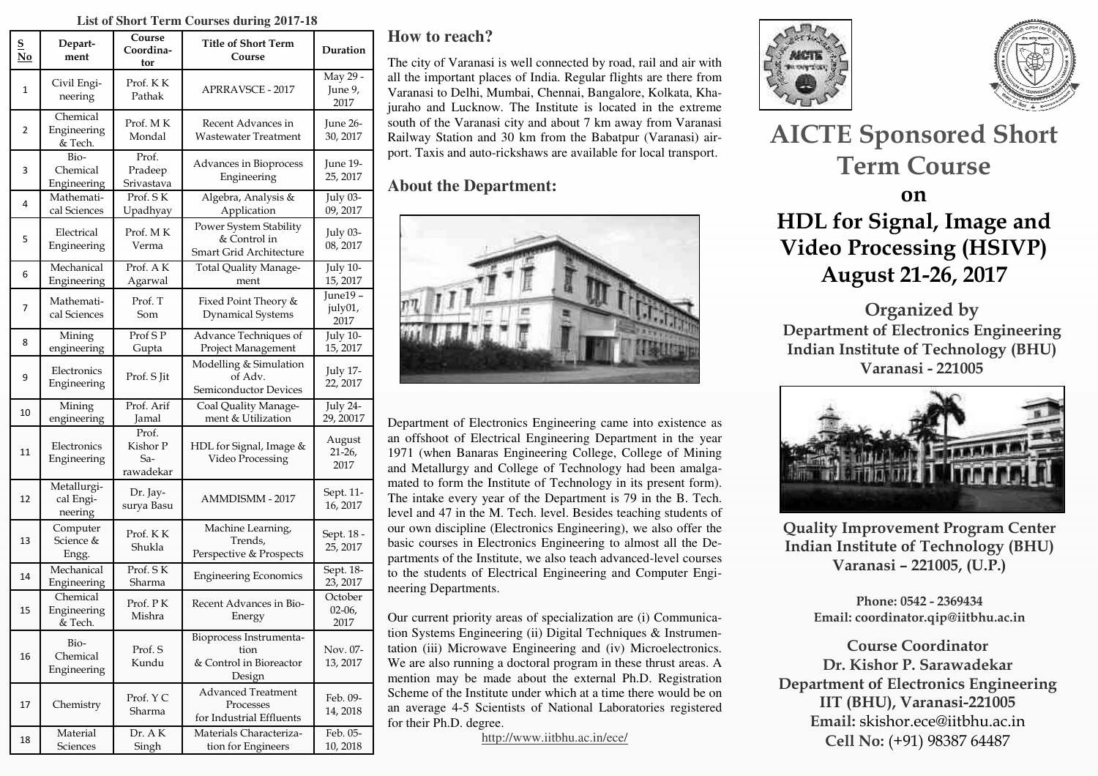#### **List of Short Term Courses during 2017-18**

| <u>s</u><br>$\mathbf{N}\mathbf{o}$ | Depart-<br>ment                     | Course<br>Coordina-<br>tor            | <b>Title of Short Term</b><br>Course                                 | Duration                    |
|------------------------------------|-------------------------------------|---------------------------------------|----------------------------------------------------------------------|-----------------------------|
| $\mathbf{1}$                       | Civil Engi-<br>neering              | Prof. KK<br>Pathak                    | <b>APRRAVSCE - 2017</b>                                              | May 29 -<br>June 9,<br>2017 |
| 2                                  | Chemical<br>Engineering<br>& Tech.  | Prof. MK<br>Mondal                    | Recent Advances in<br>Wastewater Treatment                           | June 26-<br>30, 2017        |
| 3                                  | Bio-<br>Chemical<br>Engineering     | Prof.<br>Pradeep<br>Srivastava        | Advances in Bioprocess<br>Engineering                                | June 19-<br>25, 2017        |
| 4                                  | Mathemati-<br>cal Sciences          | Prof. SK<br>Upadhyay                  | Algebra, Analysis &<br>Application                                   | July 03-<br>09, 2017        |
| 5                                  | Electrical<br>Engineering           | Prof. MK<br>Verma                     | Power System Stability<br>& Control in<br>Smart Grid Architecture    | July 03-<br>08, 2017        |
| 6                                  | Mechanical<br>Engineering           | Prof. AK<br>Agarwal                   | Total Quality Manage-<br>ment                                        | July 10-<br>15, 2017        |
| 7                                  | Mathemati-<br>cal Sciences          | Prof. T<br>Som                        | Fixed Point Theory &<br><b>Dynamical Systems</b>                     | June19-<br>july01,<br>2017  |
| 8                                  | Mining<br>engineering               | Prof S P<br>Gupta                     | Advance Techniques of<br>Project Management                          | <b>July 10-</b><br>15, 2017 |
| 9                                  | Electronics<br>Engineering          | Prof. S Jit                           | Modelling & Simulation<br>of Adv.<br>Semiconductor Devices           | <b>July 17-</b><br>22, 2017 |
| 10                                 | Mining<br>engineering               | Prof. Arif<br>Jamal                   | Coal Quality Manage-<br>ment & Utilization                           | July 24-<br>29, 20017       |
| 11                                 | Electronics<br>Engineering          | Prof.<br>Kishor P<br>Sa-<br>rawadekar | HDL for Signal, Image &<br>Video Processing                          | August<br>$21-26$<br>2017   |
| 12                                 | Metallurgi-<br>cal Engi-<br>neering | Dr. Jay-<br>surya Basu                | AMMDISMM - 2017                                                      | Sept. 11-<br>16, 2017       |
| 13                                 | Computer<br>Science &<br>Engg.      | Prof. KK<br>Shukla                    | Machine Learning,<br>Trends,<br>Perspective & Prospects              | Sept. 18 -<br>25, 2017      |
| 14                                 | Mechanical<br>Engineering           | Prof. SK<br>Sharma                    | <b>Engineering Economics</b>                                         | Sept. 18-<br>23, 2017       |
| 15                                 | Chemical<br>Engineering<br>& Tech.  | Prof. PK<br>Mishra                    | Recent Advances in Bio-<br>Energy                                    | October<br>$02-06$<br>2017  |
| 16                                 | Bio-<br>Chemical<br>Engineering     | Prof. S<br>Kundu                      | Bioprocess Instrumenta-<br>tion<br>& Control in Bioreactor<br>Design | Nov. 07-<br>13, 2017        |
| 17                                 | Chemistry                           | Prof. Y C<br>Sharma                   | <b>Advanced Treatment</b><br>Processes<br>for Industrial Effluents   | Feb. 09-<br>14, 2018        |
| 18                                 | Material<br><b>Sciences</b>         | Dr. AK<br>Singh                       | Materials Characteriza-<br>tion for Engineers                        | Feb. 05-<br>10, 2018        |

## **How to reach?**

The city of Varanasi is well connected by road, rail and air with all the important places of India. Regular flights are there from Varanasi to Delhi, Mumbai, Chennai, Bangalore, Kolkata, Khajuraho and Lucknow. The Institute is located in the extreme south of the Varanasi city and about 7 km away from Varanasi Railway Station and 30 km from the Babatpur (Varanasi) airport. Taxis and auto-rickshaws are available for local transport.

## **About the Department:**



Department of Electronics Engineering came into existence as an offshoot of Electrical Engineering Department in the year 1971 (when Banaras Engineering College, College of Mining and Metallurgy and College of Technology had been amalgamated to form the Institute of Technology in its present form). The intake every year of the Department is 79 in the B. Tech. level and 47 in the M. Tech. level. Besides teaching students of our own discipline (Electronics Engineering), we also offer the basic courses in Electronics Engineering to almost all the Departments of the Institute, we also teach advanced-level courses to the students of Electrical Engineering and Computer Engineering Departments.

Our current priority areas of specialization are (i) Communication Systems Engineering (ii) Digital Techniques & Instrumentation (iii) Microwave Engineering and (iv) Microelectronics. We are also running a doctoral program in these thrust areas. A mention may be made about the external Ph.D. Registration Scheme of the Institute under which at a time there would be on an average 4-5 Scientists of National Laboratories registered for their Ph.D. degree.

http://www.iitbhu.ac.in/ece/





# **AICTE Sponsored Short Term Course**

## **on HDL for Signal, Image and Video Processing (HSIVP) August 21-26, 2017**

**Organized by Department of Electronics Engineering Indian Institute of Technology (BHU) Varanasi - 221005** 



**Quality Improvement Program Center Indian Institute of Technology (BHU) Varanasi – 221005, (U.P.)** 

> **Phone: 0542 - 2369434 Email: coordinator.qip@iitbhu.ac.in**

**Course Coordinator Dr. Kishor P. Sarawadekar Department of Electronics Engineering IIT (BHU), Varanasi-221005 Email:** skishor.ece@iitbhu.ac.in **Cell No:** (+91) 98387 64487